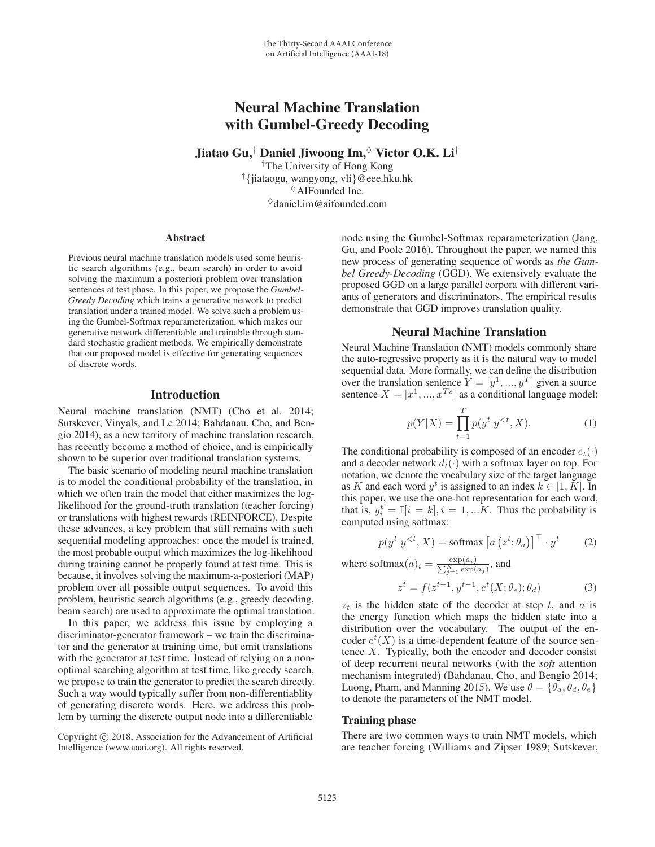# Neural Machine Translation with Gumbel-Greedy Decoding

Jiatao Gu,<sup>†</sup> Daniel Jiwoong Im, $\sqrt{\ }$  Victor O.K. Li<sup>†</sup>

†The University of Hong Kong †{jiataogu, wangyong, vli}@eee.hku.hk  $\Diamond$ AIFounded Inc.  $\Diamond$ daniel.im@aifounded.com

#### **Abstract**

Previous neural machine translation models used some heuristic search algorithms (e.g., beam search) in order to avoid solving the maximum a posteriori problem over translation sentences at test phase. In this paper, we propose the *Gumbel-Greedy Decoding* which trains a generative network to predict translation under a trained model. We solve such a problem using the Gumbel-Softmax reparameterization, which makes our generative network differentiable and trainable through standard stochastic gradient methods. We empirically demonstrate that our proposed model is effective for generating sequences of discrete words.

### Introduction

Neural machine translation (NMT) (Cho et al. 2014; Sutskever, Vinyals, and Le 2014; Bahdanau, Cho, and Bengio 2014), as a new territory of machine translation research, has recently become a method of choice, and is empirically shown to be superior over traditional translation systems.

The basic scenario of modeling neural machine translation is to model the conditional probability of the translation, in which we often train the model that either maximizes the loglikelihood for the ground-truth translation (teacher forcing) or translations with highest rewards (REINFORCE). Despite these advances, a key problem that still remains with such sequential modeling approaches: once the model is trained, the most probable output which maximizes the log-likelihood during training cannot be properly found at test time. This is because, it involves solving the maximum-a-posteriori (MAP) problem over all possible output sequences. To avoid this problem, heuristic search algorithms (e.g., greedy decoding, beam search) are used to approximate the optimal translation.

In this paper, we address this issue by employing a discriminator-generator framework – we train the discriminator and the generator at training time, but emit translations with the generator at test time. Instead of relying on a nonoptimal searching algorithm at test time, like greedy search, we propose to train the generator to predict the search directly. Such a way would typically suffer from non-differentiablity of generating discrete words. Here, we address this problem by turning the discrete output node into a differentiable

node using the Gumbel-Softmax reparameterization (Jang, Gu, and Poole 2016). Throughout the paper, we named this new process of generating sequence of words as *the Gumbel Greedy-Decoding* (GGD). We extensively evaluate the proposed GGD on a large parallel corpora with different variants of generators and discriminators. The empirical results demonstrate that GGD improves translation quality.

#### Neural Machine Translation

Neural Machine Translation (NMT) models commonly share the auto-regressive property as it is the natural way to model sequential data. More formally, we can define the distribution over the translation sentence  $Y = [y^1, ..., y^T]$  given a source sentence  $X = [x^1, ..., x^{Ts}]$  as a conditional language model:

$$
p(Y|X) = \prod_{t=1}^{T} p(y^t | y^{< t}, X). \tag{1}
$$

The conditional probability is composed of an encoder  $e_t(\cdot)$ and a decoder network  $d_t(\cdot)$  with a softmax layer on top. For notation, we denote the vocabulary size of the target language as K and each word  $y^t$  is assigned to an index  $k \in [1, K]$ . In this paper, we use the one-hot representation for each word, that is,  $y_i^t = \mathbb{I}[i = k], i = 1, \dots K$ . Thus the probability is computed using softmax:

$$
p(y^t | y^{<}; X) = \text{softmax}\left[a\left(z^t; \theta_a\right)\right]^\top \cdot y^t \tag{2}
$$

where softmax $(a)_i = \frac{\exp(a_i)}{\sum_{j=1}^K \exp(a_j)}$ , and

$$
z^{t} = f(z^{t-1}, y^{t-1}, e^{t}(X; \theta_e); \theta_d)
$$
 (3)

 $z_t$  is the hidden state of the decoder at step t, and a is the energy function which maps the hidden state into a distribution over the vocabulary. The output of the encoder  $e^t(X)$  is a time-dependent feature of the source sentence X. Typically, both the encoder and decoder consist of deep recurrent neural networks (with the *soft* attention mechanism integrated) (Bahdanau, Cho, and Bengio 2014; Luong, Pham, and Manning 2015). We use  $\theta = {\theta_a, \theta_d, \theta_e}$ to denote the parameters of the NMT model.

#### Training phase

There are two common ways to train NMT models, which are teacher forcing (Williams and Zipser 1989; Sutskever,

Copyright  $\odot$  2018, Association for the Advancement of Artificial Intelligence (www.aaai.org). All rights reserved.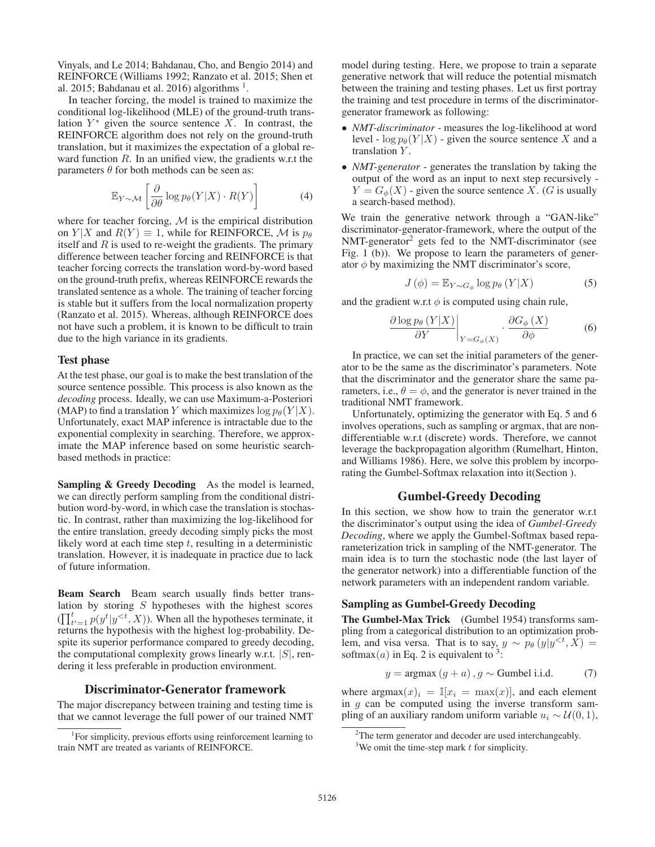Vinyals, and Le 2014; Bahdanau, Cho, and Bengio 2014) and REINFORCE (Williams 1992; Ranzato et al. 2015; Shen et al. 2015; Bahdanau et al. 2016) algorithms  $<sup>1</sup>$ .</sup>

In teacher forcing, the model is trained to maximize the conditional log-likelihood (MLE) of the ground-truth translation  $Y^*$  given the source sentence X. In contrast, the REINFORCE algorithm does not rely on the ground-truth translation, but it maximizes the expectation of a global reward function  $R$ . In an unified view, the gradients w.r.t the parameters  $\theta$  for both methods can be seen as:

$$
\mathbb{E}_{Y \sim \mathcal{M}} \left[ \frac{\partial}{\partial \theta} \log p_{\theta}(Y|X) \cdot R(Y) \right] \tag{4}
$$

where for teacher forcing,  $M$  is the empirical distribution on  $Y|X$  and  $R(Y) \equiv 1$ , while for REINFORCE, M is  $p_{\theta}$ itself and  $R$  is used to re-weight the gradients. The primary difference between teacher forcing and REINFORCE is that teacher forcing corrects the translation word-by-word based on the ground-truth prefix, whereas REINFORCE rewards the translated sentence as a whole. The training of teacher forcing is stable but it suffers from the local normalization property (Ranzato et al. 2015). Whereas, although REINFORCE does not have such a problem, it is known to be difficult to train due to the high variance in its gradients.

#### Test phase

At the test phase, our goal is to make the best translation of the source sentence possible. This process is also known as the *decoding* process. Ideally, we can use Maximum-a-Posteriori (MAP) to find a translation Y which maximizes  $\log p_{\theta}(Y | X)$ . Unfortunately, exact MAP inference is intractable due to the exponential complexity in searching. Therefore, we approximate the MAP inference based on some heuristic searchbased methods in practice:

Sampling & Greedy Decoding As the model is learned, we can directly perform sampling from the conditional distribution word-by-word, in which case the translation is stochastic. In contrast, rather than maximizing the log-likelihood for the entire translation, greedy decoding simply picks the most likely word at each time step  $t$ , resulting in a deterministic translation. However, it is inadequate in practice due to lack of future information.

Beam Search Beam search usually finds better translation by storing  $S$  hypotheses with the highest scores  $\prod_{t'=1}^{t} p(y^t | y^{). When all the hypotheses terminate, it$ returns the hypothesis with the highest log-probability. Despite its superior performance compared to greedy decoding, the computational complexity grows linearly w.r.t.  $|S|$ , rendering it less preferable in production environment.

#### Discriminator-Generator framework

The major discrepancy between training and testing time is that we cannot leverage the full power of our trained NMT

model during testing. Here, we propose to train a separate generative network that will reduce the potential mismatch between the training and testing phases. Let us first portray the training and test procedure in terms of the discriminatorgenerator framework as following:

- *NMT-discriminator* measures the log-likelihood at word level -  $\log p_{\theta}(Y|X)$  - given the source sentence X and a translation Y.
- *NMT-generator* generates the translation by taking the output of the word as an input to next step recursively -  $Y = G_{\phi}(X)$  - given the source sentence X. (G is usually a search-based method).

We train the generative network through a "GAN-like" discriminator-generator-framework, where the output of the NMT-generator2 gets fed to the NMT-discriminator (see Fig. 1 (b)). We propose to learn the parameters of generator  $\phi$  by maximizing the NMT discriminator's score,

$$
J(\phi) = \mathbb{E}_{Y \sim G_{\phi}} \log p_{\theta} \left( Y | X \right) \tag{5}
$$

and the gradient w.r.t  $\phi$  is computed using chain rule,

$$
\left. \frac{\partial \log p_{\theta} \left( Y | X \right)}{\partial Y} \right|_{Y = G_{\phi}(X)} \cdot \frac{\partial G_{\phi} \left( X \right)}{\partial \phi} \tag{6}
$$

In practice, we can set the initial parameters of the generator to be the same as the discriminator's parameters. Note that the discriminator and the generator share the same parameters, i.e.,  $\theta = \phi$ , and the generator is never trained in the traditional NMT framework.

Unfortunately, optimizing the generator with Eq. 5 and 6 involves operations, such as sampling or argmax, that are nondifferentiable w.r.t (discrete) words. Therefore, we cannot leverage the backpropagation algorithm (Rumelhart, Hinton, and Williams 1986). Here, we solve this problem by incorporating the Gumbel-Softmax relaxation into it(Section ).

#### Gumbel-Greedy Decoding

In this section, we show how to train the generator w.r.t the discriminator's output using the idea of *Gumbel-Greedy Decoding*, where we apply the Gumbel-Softmax based reparameterization trick in sampling of the NMT-generator. The main idea is to turn the stochastic node (the last layer of the generator network) into a differentiable function of the network parameters with an independent random variable.

#### Sampling as Gumbel-Greedy Decoding

The Gumbel-Max Trick (Gumbel 1954) transforms sampling from a categorical distribution to an optimization problem, and visa versa. That is to say,  $y \sim p_{\theta}(y|y^{\leq t}, X)$  = softmax(*a*) in Eq. 2 is equivalent to <sup>3</sup>:

$$
y = \operatorname{argmax}(g + a), g \sim \text{Gumbel i.i.d.} \tag{7}
$$

where  $argmax(x)_i = \mathbb{I}[x_i = max(x)]$ , and each element in  $g$  can be computed using the inverse transform sampling of an auxiliary random uniform variable  $u_i \sim U(0, 1)$ ,

<sup>&</sup>lt;sup>1</sup>For simplicity, previous efforts using reinforcement learning to train NMT are treated as variants of REINFORCE.

<sup>&</sup>lt;sup>2</sup>The term generator and decoder are used interchangeably.

<sup>&</sup>lt;sup>3</sup>We omit the time-step mark  $t$  for simplicity.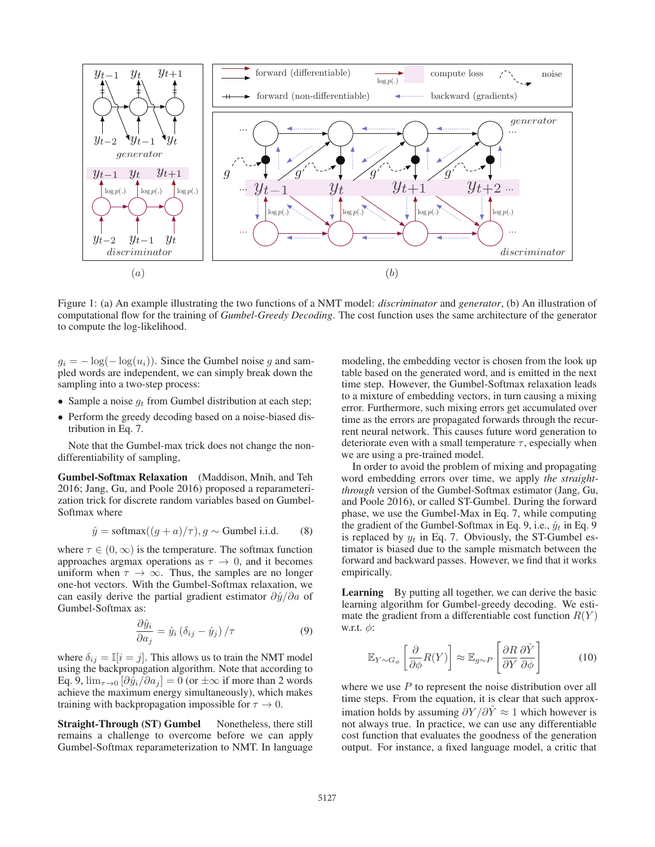

Figure 1: (a) An example illustrating the two functions of a NMT model: *discriminator* and *generator*, (b) An illustration of computational flow for the training of *Gumbel-Greedy Decoding*. The cost function uses the same architecture of the generator to compute the log-likelihood.

 $g_i = -\log(-\log(u_i))$ . Since the Gumbel noise g and sampled words are independent, we can simply break down the sampling into a two-step process:

- Sample a noise  $g_t$  from Gumbel distribution at each step;
- Perform the greedy decoding based on a noise-biased distribution in Eq. 7.

Note that the Gumbel-max trick does not change the nondifferentiability of sampling,

Gumbel-Softmax Relaxation (Maddison, Mnih, and Teh 2016; Jang, Gu, and Poole 2016) proposed a reparameterization trick for discrete random variables based on Gumbel-Softmax where

$$
\hat{y} = \text{softmax}((g+a)/\tau), g \sim \text{Gumbel i.i.d.} \tag{8}
$$

where  $\tau \in (0, \infty)$  is the temperature. The softmax function approaches argmax operations as  $\tau \to 0$ , and it becomes uniform when  $\tau \to \infty$ . Thus, the samples are no longer one-hot vectors. With the Gumbel-Softmax relaxation, we can easily derive the partial gradient estimator  $\partial \hat{y}/\partial a$  of Gumbel-Softmax as:

$$
\frac{\partial \hat{y}_i}{\partial a_j} = \hat{y}_i \left( \delta_{ij} - \hat{y}_j \right) / \tau \tag{9}
$$

where  $\delta_{ij} = \mathbb{I}[i = j]$ . This allows us to train the NMT model using the backpropagation algorithm. Note that according to Eq. 9,  $\lim_{\tau \to 0} [\partial \hat{y}_i / \partial a_j] = 0$  (or  $\pm \infty$  if more than 2 words achieve the maximum energy simultaneously), which makes training with backpropagation impossible for  $\tau \to 0$ .

Straight-Through (ST) Gumbel Nonetheless, there still remains a challenge to overcome before we can apply Gumbel-Softmax reparameterization to NMT. In language

modeling, the embedding vector is chosen from the look up table based on the generated word, and is emitted in the next time step. However, the Gumbel-Softmax relaxation leads to a mixture of embedding vectors, in turn causing a mixing error. Furthermore, such mixing errors get accumulated over time as the errors are propagated forwards through the recurrent neural network. This causes future word generation to deteriorate even with a small temperature  $\tau$ , especially when we are using a pre-trained model.

In order to avoid the problem of mixing and propagating word embedding errors over time, we apply *the straightthrough* version of the Gumbel-Softmax estimator (Jang, Gu, and Poole 2016), or called ST-Gumbel. During the forward phase, we use the Gumbel-Max in Eq. 7, while computing the gradient of the Gumbel-Softmax in Eq. 9, i.e.,  $\hat{y}_t$  in Eq. 9 is replaced by  $y_t$  in Eq. 7. Obviously, the ST-Gumbel estimator is biased due to the sample mismatch between the forward and backward passes. However, we find that it works empirically.

Learning By putting all together, we can derive the basic learning algorithm for Gumbel-greedy decoding. We estimate the gradient from a differentiable cost function  $R(Y)$ w.r.t.  $\phi$ :

$$
\mathbb{E}_{Y \sim G_{\phi}} \left[ \frac{\partial}{\partial \phi} R(Y) \right] \approx \mathbb{E}_{g \sim P} \left[ \frac{\partial R}{\partial Y} \frac{\partial \hat{Y}}{\partial \phi} \right]
$$
(10)

where we use  $P$  to represent the noise distribution over all time steps. From the equation, it is clear that such approximation holds by assuming  $\partial Y/\partial \hat{Y} \approx 1$  which however is not always true. In practice, we can use any differentiable cost function that evaluates the goodness of the generation output. For instance, a fixed language model, a critic that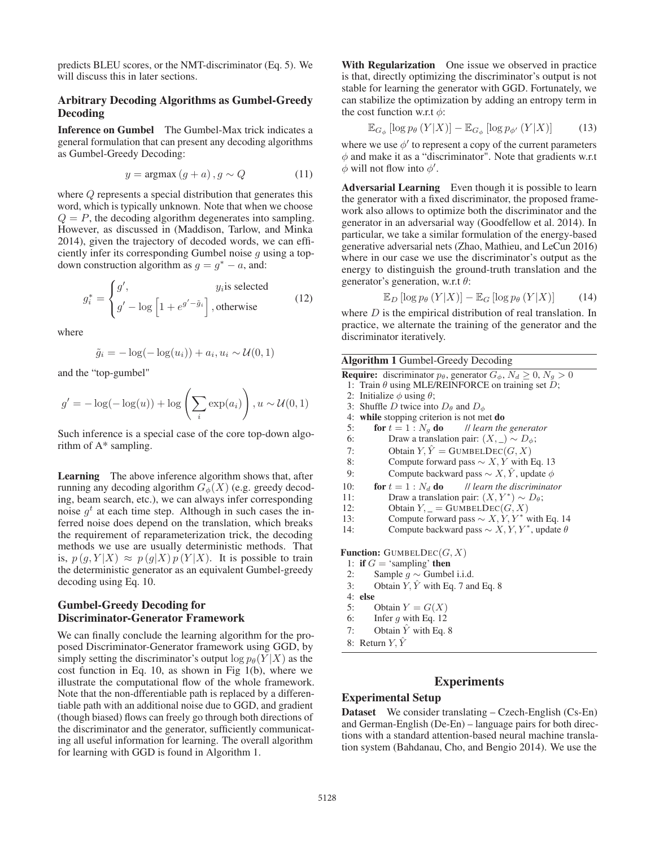predicts BLEU scores, or the NMT-discriminator (Eq. 5). We will discuss this in later sections.

## Arbitrary Decoding Algorithms as Gumbel-Greedy Decoding

Inference on Gumbel The Gumbel-Max trick indicates a general formulation that can present any decoding algorithms as Gumbel-Greedy Decoding:

$$
y = \operatorname{argmax}(g + a), g \sim Q \tag{11}
$$

where Q represents a special distribution that generates this word, which is typically unknown. Note that when we choose  $Q = P$ , the decoding algorithm degenerates into sampling. However, as discussed in (Maddison, Tarlow, and Minka 2014), given the trajectory of decoded words, we can efficiently infer its corresponding Gumbel noise  $g$  using a topdown construction algorithm as  $q = q^* - a$ , and:

$$
g_i^* = \begin{cases} g', & y_i \text{is selected} \\ g' - \log \left[ 1 + e^{g' - \tilde{g}_i} \right], \text{otherwise} \end{cases}
$$
 (12)

where

$$
\tilde{g}_i = -\log(-\log(u_i)) + a_i, u_i \sim \mathcal{U}(0, 1)
$$

and the "top-gumbel"

$$
g' = -\log(-\log(u)) + \log\left(\sum_{i} \exp(a_i)\right), u \sim \mathcal{U}(0, 1)
$$

Such inference is a special case of the core top-down algorithm of A\* sampling.

Learning The above inference algorithm shows that, after running any decoding algorithm  $G_{\phi}(X)$  (e.g. greedy decoding, beam search, etc.), we can always infer corresponding noise  $g^t$  at each time step. Although in such cases the inferred noise does depend on the translation, which breaks the requirement of reparameterization trick, the decoding methods we use are usually deterministic methods. That is,  $p(g, Y|X) \approx p(g|X)p(Y|X)$ . It is possible to train the deterministic generator as an equivalent Gumbel-greedy decoding using Eq. 10.

## Gumbel-Greedy Decoding for Discriminator-Generator Framework

We can finally conclude the learning algorithm for the proposed Discriminator-Generator framework using GGD, by simply setting the discriminator's output  $\log p_{\theta}(Y|X)$  as the cost function in Eq. 10, as shown in Fig 1(b), where we illustrate the computational flow of the whole framework. Note that the non-dfferentiable path is replaced by a differentiable path with an additional noise due to GGD, and gradient (though biased) flows can freely go through both directions of the discriminator and the generator, sufficiently communicating all useful information for learning. The overall algorithm for learning with GGD is found in Algorithm 1.

With Regularization One issue we observed in practice is that, directly optimizing the discriminator's output is not stable for learning the generator with GGD. Fortunately, we can stabilize the optimization by adding an entropy term in the cost function w.r.t  $\phi$ :

$$
\mathbb{E}_{G_{\phi}}\left[\log p_{\theta}\left(Y|X\right)\right]-\mathbb{E}_{G_{\phi}}\left[\log p_{\phi'}\left(Y|X\right)\right]
$$
(13)

where we use  $\phi'$  to represent a copy of the current parameters  $\phi$  and make it as a "discriminator". Note that gradients w.r.t  $\phi$  will not flow into  $\phi'$ .

Adversarial Learning Even though it is possible to learn the generator with a fixed discriminator, the proposed framework also allows to optimize both the discriminator and the generator in an adversarial way (Goodfellow et al. 2014). In particular, we take a similar formulation of the energy-based generative adversarial nets (Zhao, Mathieu, and LeCun 2016) where in our case we use the discriminator's output as the energy to distinguish the ground-truth translation and the generator's generation, w.r.t  $\theta$ :

$$
\mathbb{E}_D\left[\log p_\theta\left(Y|X\right)\right] - \mathbb{E}_G\left[\log p_\theta\left(Y|X\right)\right] \tag{14}
$$

where  $D$  is the empirical distribution of real translation. In practice, we alternate the training of the generator and the discriminator iteratively.

|     | <b>Algorithm 1 Gumbel-Greedy Decoding</b>                                                    |  |  |  |  |  |  |  |
|-----|----------------------------------------------------------------------------------------------|--|--|--|--|--|--|--|
|     | <b>Require:</b> discriminator $p_{\theta}$ , generator $G_{\phi}$ , $N_d \geq 0$ , $N_q > 0$ |  |  |  |  |  |  |  |
|     | 1: Train $\theta$ using MLE/REINFORCE on training set $D$ ;                                  |  |  |  |  |  |  |  |
|     | 2: Initialize $\phi$ using $\theta$ ;                                                        |  |  |  |  |  |  |  |
|     | 3: Shuffle D twice into $D_{\theta}$ and $D_{\phi}$                                          |  |  |  |  |  |  |  |
|     | 4: while stopping criterion is not met do                                                    |  |  |  |  |  |  |  |
| 5:  | <b>for</b> $t = 1 : N_q$ <b>do</b> <i>II learn the generator</i>                             |  |  |  |  |  |  |  |
| 6:  | Draw a translation pair: $(X, \_) \sim D_{\phi};$                                            |  |  |  |  |  |  |  |
| 7:  | Obtain $Y, \hat{Y} = \text{GUMBELDEC}(G, X)$                                                 |  |  |  |  |  |  |  |
| 8:  | Compute forward pass $\sim X, Y$ with Eq. 13                                                 |  |  |  |  |  |  |  |
| 9:  | Compute backward pass $\sim X, \hat{Y}$ , update $\phi$                                      |  |  |  |  |  |  |  |
| 10: | for $t=1$ : $N_d$ do<br><i>Il learn the discriminator</i>                                    |  |  |  |  |  |  |  |
| 11: | Draw a translation pair: $(X, Y^*) \sim D_\theta$ ;                                          |  |  |  |  |  |  |  |
| 12: | Obtain $Y_{, -} = \text{GUMBELDEC}(G, X)$                                                    |  |  |  |  |  |  |  |
| 13: | Compute forward pass $\sim X, Y, Y^*$ with Eq. 14                                            |  |  |  |  |  |  |  |
| 14: | Compute backward pass $\sim X, Y, Y^*$ , update $\theta$                                     |  |  |  |  |  |  |  |
|     | <b>Function:</b> GUMBELDEC( $G, X$ )                                                         |  |  |  |  |  |  |  |
|     | 1: if $G = 'sampling'$ then                                                                  |  |  |  |  |  |  |  |
| 2:  | Sample $g \sim$ Gumbel i.i.d.                                                                |  |  |  |  |  |  |  |
| 3:  | Obtain Y, $\hat{Y}$ with Eq. 7 and Eq. 8                                                     |  |  |  |  |  |  |  |
|     | 4: else                                                                                      |  |  |  |  |  |  |  |
| 5:  | Obtain $Y = G(X)$                                                                            |  |  |  |  |  |  |  |
|     | Infer $g$ with Eq. 12<br>6:                                                                  |  |  |  |  |  |  |  |
| 7:  | Obtain $\hat{Y}$ with Eq. 8                                                                  |  |  |  |  |  |  |  |
|     | 0. Determ $V \hat{V}$                                                                        |  |  |  |  |  |  |  |

8: Return  $Y, \hat{Y}$ 

## **Experiments**

## Experimental Setup

Dataset We consider translating – Czech-English (Cs-En) and German-English (De-En) – language pairs for both directions with a standard attention-based neural machine translation system (Bahdanau, Cho, and Bengio 2014). We use the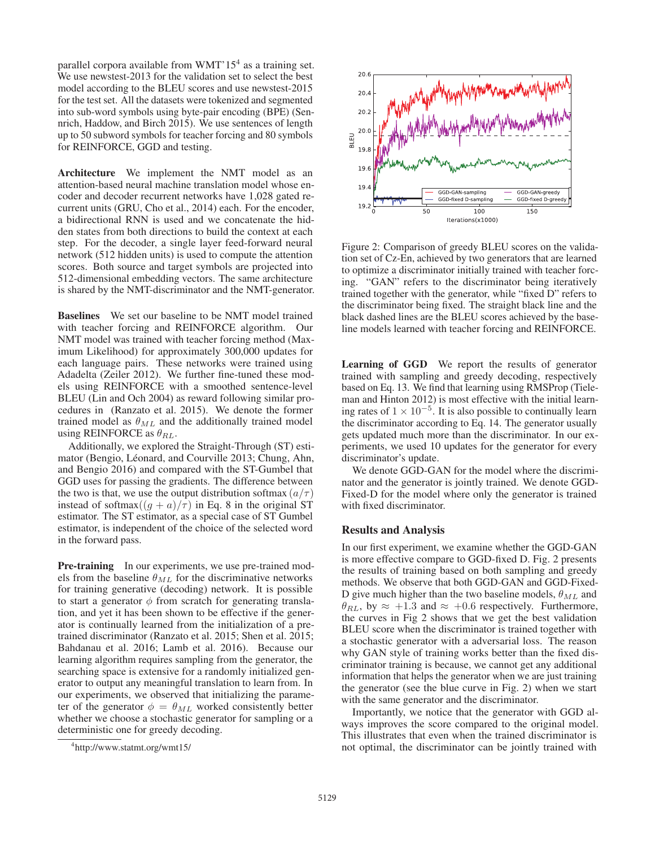parallel corpora available from WMT' $15<sup>4</sup>$  as a training set. We use newstest-2013 for the validation set to select the best model according to the BLEU scores and use newstest-2015 for the test set. All the datasets were tokenized and segmented into sub-word symbols using byte-pair encoding (BPE) (Sennrich, Haddow, and Birch 2015). We use sentences of length up to 50 subword symbols for teacher forcing and 80 symbols for REINFORCE, GGD and testing.

Architecture We implement the NMT model as an attention-based neural machine translation model whose encoder and decoder recurrent networks have 1,028 gated recurrent units (GRU, Cho et al., 2014) each. For the encoder, a bidirectional RNN is used and we concatenate the hidden states from both directions to build the context at each step. For the decoder, a single layer feed-forward neural network (512 hidden units) is used to compute the attention scores. Both source and target symbols are projected into 512-dimensional embedding vectors. The same architecture is shared by the NMT-discriminator and the NMT-generator.

Baselines We set our baseline to be NMT model trained with teacher forcing and REINFORCE algorithm. Our NMT model was trained with teacher forcing method (Maximum Likelihood) for approximately 300,000 updates for each language pairs. These networks were trained using Adadelta (Zeiler 2012). We further fine-tuned these models using REINFORCE with a smoothed sentence-level BLEU (Lin and Och 2004) as reward following similar procedures in (Ranzato et al. 2015). We denote the former trained model as  $\theta_{ML}$  and the additionally trained model using REINFORCE as  $\theta_{RL}$ .

Additionally, we explored the Straight-Through (ST) estimator (Bengio, Léonard, and Courville 2013; Chung, Ahn, and Bengio 2016) and compared with the ST-Gumbel that GGD uses for passing the gradients. The difference between the two is that, we use the output distribution softmax  $\left( \frac{a}{\tau} \right)$ instead of softmax $((g + a)/\tau)$  in Eq. 8 in the original ST estimator. The ST estimator, as a special case of ST Gumbel estimator, is independent of the choice of the selected word in the forward pass.

**Pre-training** In our experiments, we use pre-trained models from the baseline  $\theta_{ML}$  for the discriminative networks for training generative (decoding) network. It is possible to start a generator  $\phi$  from scratch for generating translation, and yet it has been shown to be effective if the generator is continually learned from the initialization of a pretrained discriminator (Ranzato et al. 2015; Shen et al. 2015; Bahdanau et al. 2016; Lamb et al. 2016). Because our learning algorithm requires sampling from the generator, the searching space is extensive for a randomly initialized generator to output any meaningful translation to learn from. In our experiments, we observed that initializing the parameter of the generator  $\phi = \theta_{ML}$  worked consistently better whether we choose a stochastic generator for sampling or a deterministic one for greedy decoding.



Figure 2: Comparison of greedy BLEU scores on the validation set of Cz-En, achieved by two generators that are learned to optimize a discriminator initially trained with teacher forcing. "GAN" refers to the discriminator being iteratively trained together with the generator, while "fixed D" refers to the discriminator being fixed. The straight black line and the black dashed lines are the BLEU scores achieved by the baseline models learned with teacher forcing and REINFORCE.

Learning of GGD We report the results of generator trained with sampling and greedy decoding, respectively based on Eq. 13. We find that learning using RMSProp (Tieleman and Hinton 2012) is most effective with the initial learning rates of  $1 \times 10^{-5}$ . It is also possible to continually learn the discriminator according to Eq. 14. The generator usually gets updated much more than the discriminator. In our experiments, we used 10 updates for the generator for every discriminator's update.

We denote GGD-GAN for the model where the discriminator and the generator is jointly trained. We denote GGD-Fixed-D for the model where only the generator is trained with fixed discriminator.

#### Results and Analysis

In our first experiment, we examine whether the GGD-GAN is more effective compare to GGD-fixed D. Fig. 2 presents the results of training based on both sampling and greedy methods. We observe that both GGD-GAN and GGD-Fixed-D give much higher than the two baseline models,  $\theta_{ML}$  and  $\theta_{RL}$ , by  $\approx$  +1.3 and  $\approx$  +0.6 respectively. Furthermore, the curves in Fig 2 shows that we get the best validation BLEU score when the discriminator is trained together with a stochastic generator with a adversarial loss. The reason why GAN style of training works better than the fixed discriminator training is because, we cannot get any additional information that helps the generator when we are just training the generator (see the blue curve in Fig. 2) when we start with the same generator and the discriminator.

Importantly, we notice that the generator with GGD always improves the score compared to the original model. This illustrates that even when the trained discriminator is not optimal, the discriminator can be jointly trained with

<sup>4</sup> http://www.statmt.org/wmt15/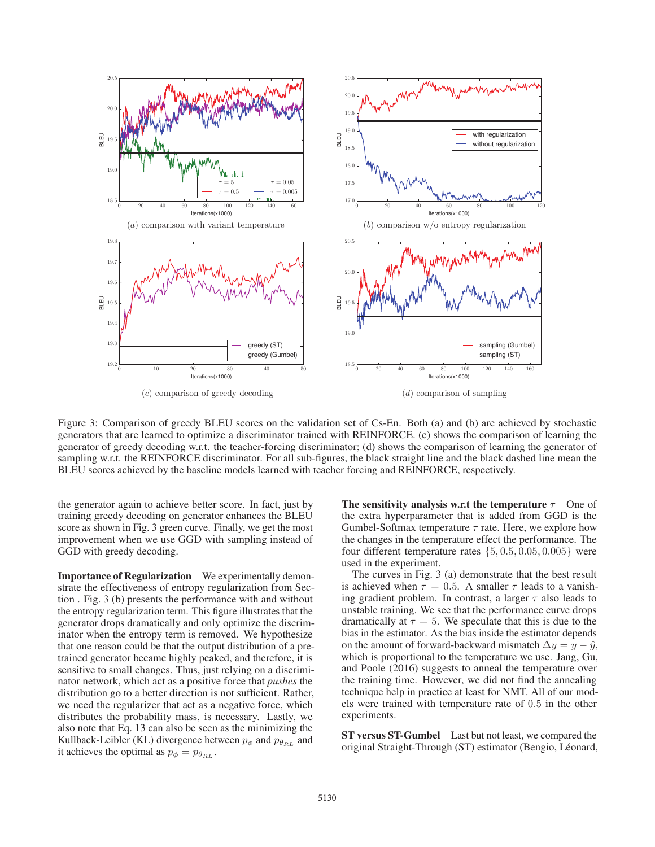

Figure 3: Comparison of greedy BLEU scores on the validation set of Cs-En. Both (a) and (b) are achieved by stochastic generators that are learned to optimize a discriminator trained with REINFORCE. (c) shows the comparison of learning the generator of greedy decoding w.r.t. the teacher-forcing discriminator; (d) shows the comparison of learning the generator of sampling w.r.t. the REINFORCE discriminator. For all sub-figures, the black straight line and the black dashed line mean the BLEU scores achieved by the baseline models learned with teacher forcing and REINFORCE, respectively.

the generator again to achieve better score. In fact, just by training greedy decoding on generator enhances the BLEU score as shown in Fig. 3 green curve. Finally, we get the most improvement when we use GGD with sampling instead of GGD with greedy decoding.

Importance of Regularization We experimentally demonstrate the effectiveness of entropy regularization from Section . Fig. 3 (b) presents the performance with and without the entropy regularization term. This figure illustrates that the generator drops dramatically and only optimize the discriminator when the entropy term is removed. We hypothesize that one reason could be that the output distribution of a pretrained generator became highly peaked, and therefore, it is sensitive to small changes. Thus, just relying on a discriminator network, which act as a positive force that *pushes* the distribution go to a better direction is not sufficient. Rather, we need the regularizer that act as a negative force, which distributes the probability mass, is necessary. Lastly, we also note that Eq. 13 can also be seen as the minimizing the Kullback-Leibler (KL) divergence between  $p_{\phi}$  and  $p_{\theta_{RL}}$  and it achieves the optimal as  $p_{\phi} = p_{\theta_{RL}}$ .

The sensitivity analysis w.r.t the temperature  $\tau$  One of the extra hyperparameter that is added from GGD is the Gumbel-Softmax temperature  $\tau$  rate. Here, we explore how the changes in the temperature effect the performance. The four different temperature rates  $\{5, 0.5, 0.05, 0.005\}$  were used in the experiment.

The curves in Fig. 3 (a) demonstrate that the best result is achieved when  $\tau = 0.5$ . A smaller  $\tau$  leads to a vanishing gradient problem. In contrast, a larger  $\tau$  also leads to unstable training. We see that the performance curve drops dramatically at  $\tau = 5$ . We speculate that this is due to the bias in the estimator. As the bias inside the estimator depends on the amount of forward-backward mismatch  $\Delta y = y - \hat{y}$ , which is proportional to the temperature we use. Jang, Gu, and Poole (2016) suggests to anneal the temperature over the training time. However, we did not find the annealing technique help in practice at least for NMT. All of our models were trained with temperature rate of 0.5 in the other experiments.

ST versus ST-Gumbel Last but not least, we compared the original Straight-Through (ST) estimator (Bengio, Léonard,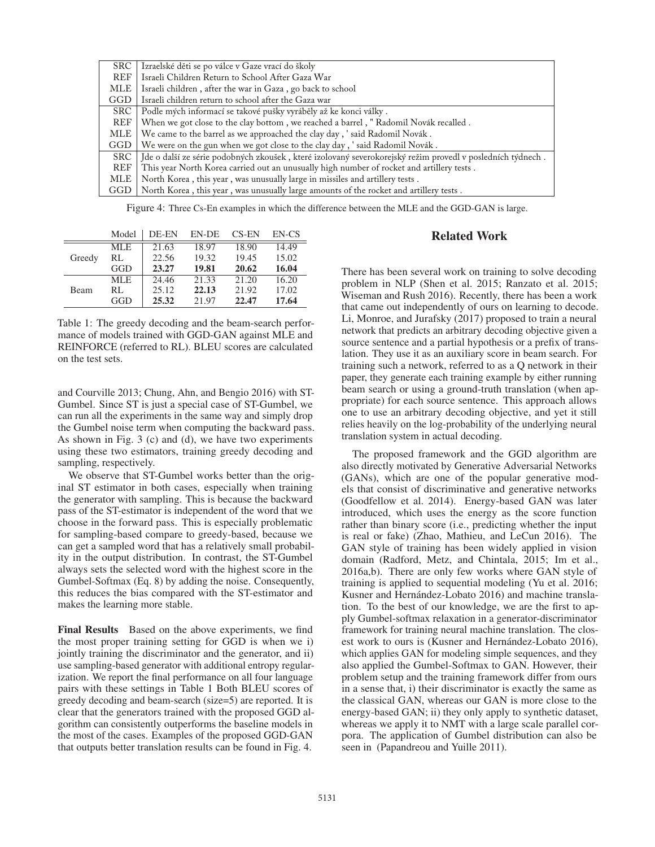| SRC   | Izraelské děti se po válce v Gaze vrací do školy                                                           |
|-------|------------------------------------------------------------------------------------------------------------|
| REF   | Israeli Children Return to School After Gaza War                                                           |
| MLE   | Israeli children, after the war in Gaza, go back to school                                                 |
| GGD   | Israeli children return to school after the Gaza war                                                       |
| SRC   | Podle mých informací se takové pušky vyráběly až ke konci války.                                           |
| REF   | When we got close to the clay bottom, we reached a barrel, "Radomil Novák recalled.                        |
| MLE   | We came to the barrel as we approached the clay day, 'said Radomil Novák.                                  |
| GGD   | We were on the gun when we got close to the clay day, ' said Radomil Novák.                                |
| SRC - | Jde o další ze série podobných zkoušek, které izolovaný severokorejský režim provedl v posledních týdnech. |
| REF   | This year North Korea carried out an unusually high number of rocket and artillery tests.                  |
| MLE   | North Korea, this year, was unusually large in missiles and artillery tests.                               |
| GGD   | North Korea, this year, was unusually large amounts of the rocket and artillery tests.                     |

Figure 4: Three Cs-En examples in which the difference between the MLE and the GGD-GAN is large.

|             | Model      | DE-EN | EN-DE | <b>CS-EN</b> | EN-CS |
|-------------|------------|-------|-------|--------------|-------|
|             | MLE        | 21.63 | 18.97 | 18.90        | 14.49 |
| Greedy      | RL         | 22.56 | 19.32 | 19.45        | 15.02 |
|             | GGD        | 23.27 | 19.81 | 20.62        | 16.04 |
|             | <b>MLE</b> | 24.46 | 21.33 | 21.20        | 16.20 |
| <b>Beam</b> | RL         | 25.12 | 22.13 | 21.92        | 17.02 |
|             | GGD        | 25.32 | 21.97 | 22.47        | 17.64 |

Table 1: The greedy decoding and the beam-search performance of models trained with GGD-GAN against MLE and REINFORCE (referred to RL). BLEU scores are calculated on the test sets.

and Courville 2013; Chung, Ahn, and Bengio 2016) with ST-Gumbel. Since ST is just a special case of ST-Gumbel, we can run all the experiments in the same way and simply drop the Gumbel noise term when computing the backward pass. As shown in Fig. 3 (c) and (d), we have two experiments using these two estimators, training greedy decoding and sampling, respectively.

We observe that ST-Gumbel works better than the original ST estimator in both cases, especially when training the generator with sampling. This is because the backward pass of the ST-estimator is independent of the word that we choose in the forward pass. This is especially problematic for sampling-based compare to greedy-based, because we can get a sampled word that has a relatively small probability in the output distribution. In contrast, the ST-Gumbel always sets the selected word with the highest score in the Gumbel-Softmax (Eq. 8) by adding the noise. Consequently, this reduces the bias compared with the ST-estimator and makes the learning more stable.

Final Results Based on the above experiments, we find the most proper training setting for GGD is when we i) jointly training the discriminator and the generator, and ii) use sampling-based generator with additional entropy regularization. We report the final performance on all four language pairs with these settings in Table 1 Both BLEU scores of greedy decoding and beam-search (size=5) are reported. It is clear that the generators trained with the proposed GGD algorithm can consistently outperforms the baseline models in the most of the cases. Examples of the proposed GGD-GAN that outputs better translation results can be found in Fig. 4.

## Related Work

There has been several work on training to solve decoding problem in NLP (Shen et al. 2015; Ranzato et al. 2015; Wiseman and Rush 2016). Recently, there has been a work that came out independently of ours on learning to decode. Li, Monroe, and Jurafsky (2017) proposed to train a neural network that predicts an arbitrary decoding objective given a source sentence and a partial hypothesis or a prefix of translation. They use it as an auxiliary score in beam search. For training such a network, referred to as a Q network in their paper, they generate each training example by either running beam search or using a ground-truth translation (when appropriate) for each source sentence. This approach allows one to use an arbitrary decoding objective, and yet it still relies heavily on the log-probability of the underlying neural translation system in actual decoding.

The proposed framework and the GGD algorithm are also directly motivated by Generative Adversarial Networks (GANs), which are one of the popular generative models that consist of discriminative and generative networks (Goodfellow et al. 2014). Energy-based GAN was later introduced, which uses the energy as the score function rather than binary score (i.e., predicting whether the input is real or fake) (Zhao, Mathieu, and LeCun 2016). The GAN style of training has been widely applied in vision domain (Radford, Metz, and Chintala, 2015; Im et al., 2016a,b). There are only few works where GAN style of training is applied to sequential modeling (Yu et al. 2016; Kusner and Hernández-Lobato 2016) and machine translation. To the best of our knowledge, we are the first to apply Gumbel-softmax relaxation in a generator-discriminator framework for training neural machine translation. The closest work to ours is (Kusner and Hernández-Lobato 2016), which applies GAN for modeling simple sequences, and they also applied the Gumbel-Softmax to GAN. However, their problem setup and the training framework differ from ours in a sense that, i) their discriminator is exactly the same as the classical GAN, whereas our GAN is more close to the energy-based GAN; ii) they only apply to synthetic dataset, whereas we apply it to NMT with a large scale parallel corpora. The application of Gumbel distribution can also be seen in (Papandreou and Yuille 2011).